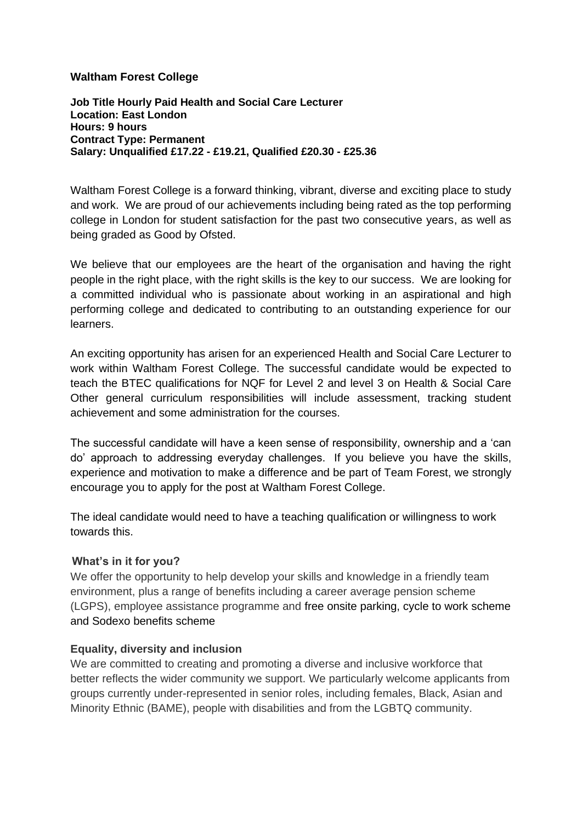## **Waltham Forest College**

**Job Title Hourly Paid Health and Social Care Lecturer Location: East London Hours: 9 hours Contract Type: Permanent Salary: Unqualified £17.22 - £19.21, Qualified £20.30 - £25.36**

Waltham Forest College is a forward thinking, vibrant, diverse and exciting place to study and work. We are proud of our achievements including being rated as the top performing college in London for student satisfaction for the past two consecutive years, as well as being graded as Good by Ofsted.

We believe that our employees are the heart of the organisation and having the right people in the right place, with the right skills is the key to our success. We are looking for a committed individual who is passionate about working in an aspirational and high performing college and dedicated to contributing to an outstanding experience for our learners.

An exciting opportunity has arisen for an experienced Health and Social Care Lecturer to work within Waltham Forest College. The successful candidate would be expected to teach the BTEC qualifications for NQF for Level 2 and level 3 on Health & Social Care Other general curriculum responsibilities will include assessment, tracking student achievement and some administration for the courses.

The successful candidate will have a keen sense of responsibility, ownership and a 'can do' approach to addressing everyday challenges. If you believe you have the skills, experience and motivation to make a difference and be part of Team Forest, we strongly encourage you to apply for the post at Waltham Forest College.

The ideal candidate would need to have a teaching qualification or willingness to work towards this.

## **What's in it for you?**

We offer the opportunity to help develop your skills and knowledge in a friendly team environment, plus a range of benefits including a career average pension scheme (LGPS), employee assistance programme and free onsite parking, cycle to work scheme and Sodexo benefits scheme

## **Equality, diversity and inclusion**

We are committed to creating and promoting a diverse and inclusive workforce that better reflects the wider community we support. We particularly welcome applicants from groups currently under-represented in senior roles, including females, Black, Asian and Minority Ethnic (BAME), people with disabilities and from the LGBTQ community.